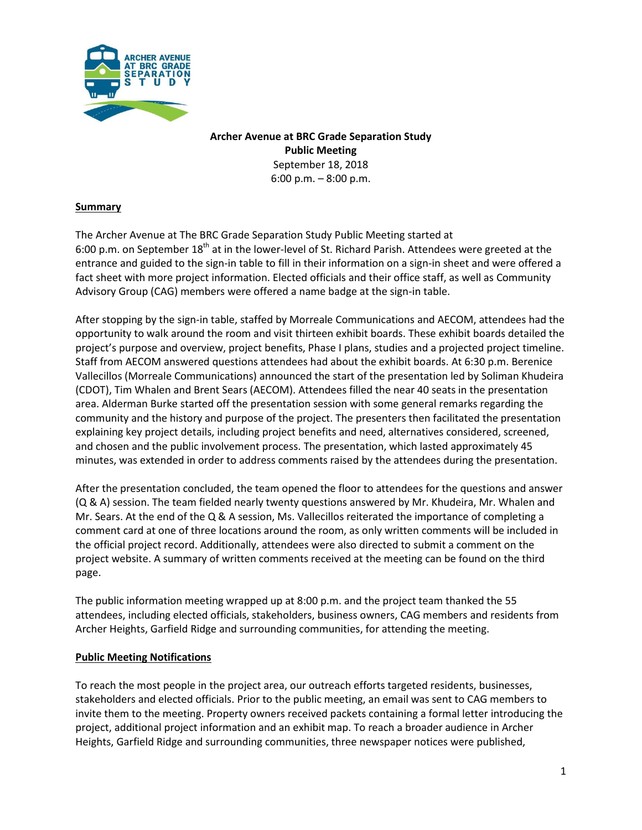

**Archer Avenue at BRC Grade Separation Study Public Meeting** September 18, 2018 6:00 p.m. – 8:00 p.m.

### **Summary**

The Archer Avenue at The BRC Grade Separation Study Public Meeting started at 6:00 p.m. on September  $18<sup>th</sup>$  at in the lower-level of St. Richard Parish. Attendees were greeted at the entrance and guided to the sign-in table to fill in their information on a sign-in sheet and were offered a fact sheet with more project information. Elected officials and their office staff, as well as Community Advisory Group (CAG) members were offered a name badge at the sign-in table.

After stopping by the sign-in table, staffed by Morreale Communications and AECOM, attendees had the opportunity to walk around the room and visit thirteen exhibit boards. These exhibit boards detailed the project's purpose and overview, project benefits, Phase I plans, studies and a projected project timeline. Staff from AECOM answered questions attendees had about the exhibit boards. At 6:30 p.m. Berenice Vallecillos (Morreale Communications) announced the start of the presentation led by Soliman Khudeira (CDOT), Tim Whalen and Brent Sears (AECOM). Attendees filled the near 40 seats in the presentation area. Alderman Burke started off the presentation session with some general remarks regarding the community and the history and purpose of the project. The presenters then facilitated the presentation explaining key project details, including project benefits and need, alternatives considered, screened, and chosen and the public involvement process. The presentation, which lasted approximately 45 minutes, was extended in order to address comments raised by the attendees during the presentation.

After the presentation concluded, the team opened the floor to attendees for the questions and answer (Q & A) session. The team fielded nearly twenty questions answered by Mr. Khudeira, Mr. Whalen and Mr. Sears. At the end of the Q & A session, Ms. Vallecillos reiterated the importance of completing a comment card at one of three locations around the room, as only written comments will be included in the official project record. Additionally, attendees were also directed to submit a comment on the project website. A summary of written comments received at the meeting can be found on the third page.

The public information meeting wrapped up at 8:00 p.m. and the project team thanked the 55 attendees, including elected officials, stakeholders, business owners, CAG members and residents from Archer Heights, Garfield Ridge and surrounding communities, for attending the meeting.

#### **Public Meeting Notifications**

To reach the most people in the project area, our outreach efforts targeted residents, businesses, stakeholders and elected officials. Prior to the public meeting, an email was sent to CAG members to invite them to the meeting. Property owners received packets containing a formal letter introducing the project, additional project information and an exhibit map. To reach a broader audience in Archer Heights, Garfield Ridge and surrounding communities, three newspaper notices were published,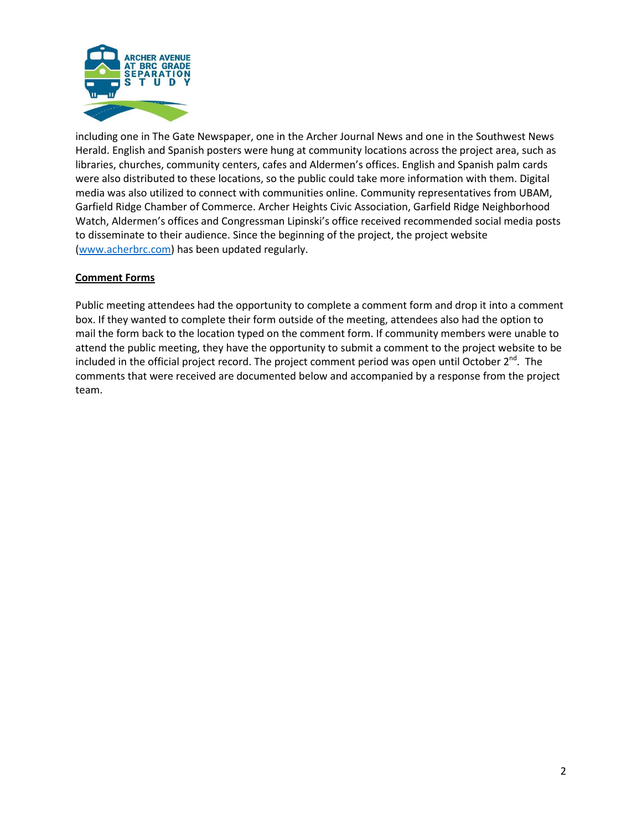

including one in The Gate Newspaper, one in the Archer Journal News and one in the Southwest News Herald. English and Spanish posters were hung at community locations across the project area, such as libraries, churches, community centers, cafes and Aldermen's offices. English and Spanish palm cards were also distributed to these locations, so the public could take more information with them. Digital media was also utilized to connect with communities online. Community representatives from UBAM, Garfield Ridge Chamber of Commerce. Archer Heights Civic Association, Garfield Ridge Neighborhood Watch, Aldermen's offices and Congressman Lipinski's office received recommended social media posts to disseminate to their audience. Since the beginning of the project, the project website [\(www.acherbrc.com\)](http://www.acherbrc.com/) has been updated regularly.

### **Comment Forms**

Public meeting attendees had the opportunity to complete a comment form and drop it into a comment box. If they wanted to complete their form outside of the meeting, attendees also had the option to mail the form back to the location typed on the comment form. If community members were unable to attend the public meeting, they have the opportunity to submit a comment to the project website to be included in the official project record. The project comment period was open until October 2<sup>nd</sup>. The comments that were received are documented below and accompanied by a response from the project team.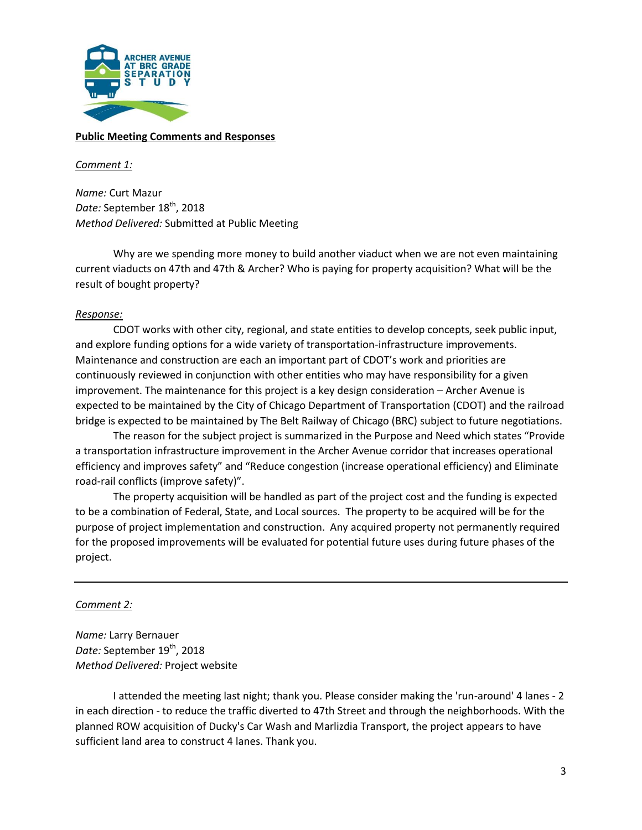

### **Public Meeting Comments and Responses**

#### *Comment 1:*

*Name:* Curt Mazur Date: September 18<sup>th</sup>, 2018 *Method Delivered:* Submitted at Public Meeting

Why are we spending more money to build another viaduct when we are not even maintaining current viaducts on 47th and 47th & Archer? Who is paying for property acquisition? What will be the result of bought property?

#### *Response:*

CDOT works with other city, regional, and state entities to develop concepts, seek public input, and explore funding options for a wide variety of transportation-infrastructure improvements. Maintenance and construction are each an important part of CDOT's work and priorities are continuously reviewed in conjunction with other entities who may have responsibility for a given improvement. The maintenance for this project is a key design consideration – Archer Avenue is expected to be maintained by the City of Chicago Department of Transportation (CDOT) and the railroad bridge is expected to be maintained by The Belt Railway of Chicago (BRC) subject to future negotiations.

The reason for the subject project is summarized in the Purpose and Need which states "Provide a transportation infrastructure improvement in the Archer Avenue corridor that increases operational efficiency and improves safety" and "Reduce congestion (increase operational efficiency) and Eliminate road-rail conflicts (improve safety)".

The property acquisition will be handled as part of the project cost and the funding is expected to be a combination of Federal, State, and Local sources. The property to be acquired will be for the purpose of project implementation and construction. Any acquired property not permanently required for the proposed improvements will be evaluated for potential future uses during future phases of the project.

### *Comment 2:*

*Name:* Larry Bernauer *Date:* September 19<sup>th</sup>, 2018 *Method Delivered:* Project website

I attended the meeting last night; thank you. Please consider making the 'run-around' 4 lanes - 2 in each direction - to reduce the traffic diverted to 47th Street and through the neighborhoods. With the planned ROW acquisition of Ducky's Car Wash and Marlizdia Transport, the project appears to have sufficient land area to construct 4 lanes. Thank you.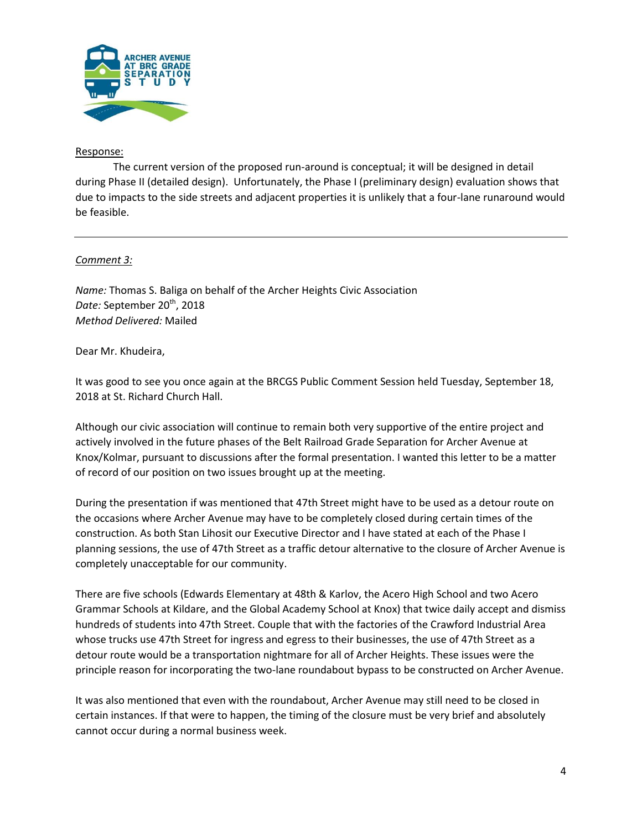

## Response:

The current version of the proposed run-around is conceptual; it will be designed in detail during Phase II (detailed design). Unfortunately, the Phase I (preliminary design) evaluation shows that due to impacts to the side streets and adjacent properties it is unlikely that a four-lane runaround would be feasible.

# *Comment 3:*

*Name:* Thomas S. Baliga on behalf of the Archer Heights Civic Association Date: September 20<sup>th</sup>, 2018 *Method Delivered:* Mailed

Dear Mr. Khudeira,

It was good to see you once again at the BRCGS Public Comment Session held Tuesday, September 18, 2018 at St. Richard Church Hall.

Although our civic association will continue to remain both very supportive of the entire project and actively involved in the future phases of the Belt Railroad Grade Separation for Archer Avenue at Knox/Kolmar, pursuant to discussions after the formal presentation. I wanted this letter to be a matter of record of our position on two issues brought up at the meeting.

During the presentation if was mentioned that 47th Street might have to be used as a detour route on the occasions where Archer Avenue may have to be completely closed during certain times of the construction. As both Stan Lihosit our Executive Director and I have stated at each of the Phase I planning sessions, the use of 47th Street as a traffic detour alternative to the closure of Archer Avenue is completely unacceptable for our community.

There are five schools (Edwards Elementary at 48th & Karlov, the Acero High School and two Acero Grammar Schools at Kildare, and the Global Academy School at Knox) that twice daily accept and dismiss hundreds of students into 47th Street. Couple that with the factories of the Crawford Industrial Area whose trucks use 47th Street for ingress and egress to their businesses, the use of 47th Street as a detour route would be a transportation nightmare for all of Archer Heights. These issues were the principle reason for incorporating the two-lane roundabout bypass to be constructed on Archer Avenue.

It was also mentioned that even with the roundabout, Archer Avenue may still need to be closed in certain instances. If that were to happen, the timing of the closure must be very brief and absolutely cannot occur during a normal business week.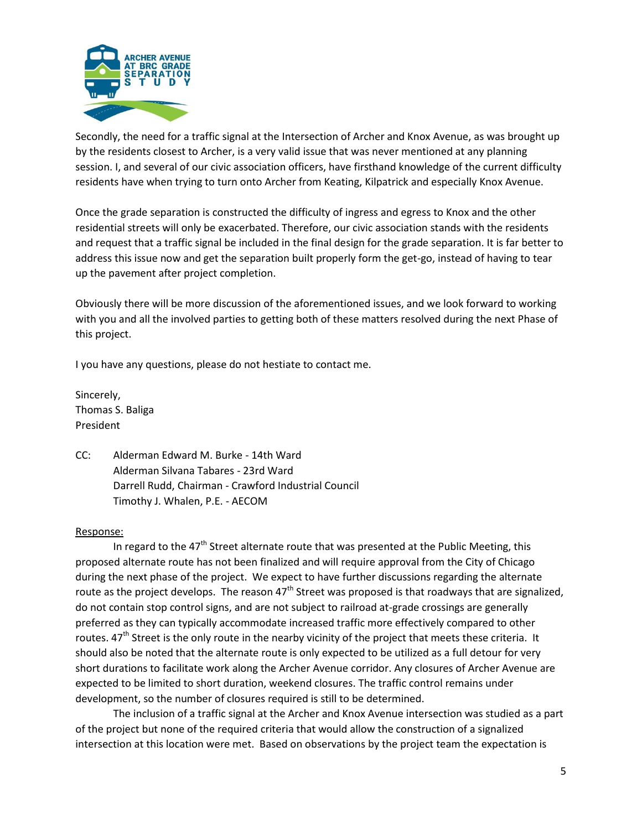

Secondly, the need for a traffic signal at the Intersection of Archer and Knox Avenue, as was brought up by the residents closest to Archer, is a very valid issue that was never mentioned at any planning session. I, and several of our civic association officers, have firsthand knowledge of the current difficulty residents have when trying to turn onto Archer from Keating, Kilpatrick and especially Knox Avenue.

Once the grade separation is constructed the difficulty of ingress and egress to Knox and the other residential streets will only be exacerbated. Therefore, our civic association stands with the residents and request that a traffic signal be included in the final design for the grade separation. It is far better to address this issue now and get the separation built properly form the get-go, instead of having to tear up the pavement after project completion.

Obviously there will be more discussion of the aforementioned issues, and we look forward to working with you and all the involved parties to getting both of these matters resolved during the next Phase of this project.

I you have any questions, please do not hestiate to contact me.

Sincerely, Thomas S. Baliga President

CC: Alderman Edward M. Burke - 14th Ward Alderman Silvana Tabares - 23rd Ward Darrell Rudd, Chairman - Crawford Industrial Council Timothy J. Whalen, P.E. - AECOM

### Response:

In regard to the  $47<sup>th</sup>$  Street alternate route that was presented at the Public Meeting, this proposed alternate route has not been finalized and will require approval from the City of Chicago during the next phase of the project. We expect to have further discussions regarding the alternate route as the project develops. The reason  $47<sup>th</sup>$  Street was proposed is that roadways that are signalized, do not contain stop control signs, and are not subject to railroad at-grade crossings are generally preferred as they can typically accommodate increased traffic more effectively compared to other routes.  $47<sup>th</sup>$  Street is the only route in the nearby vicinity of the project that meets these criteria. It should also be noted that the alternate route is only expected to be utilized as a full detour for very short durations to facilitate work along the Archer Avenue corridor. Any closures of Archer Avenue are expected to be limited to short duration, weekend closures. The traffic control remains under development, so the number of closures required is still to be determined.

The inclusion of a traffic signal at the Archer and Knox Avenue intersection was studied as a part of the project but none of the required criteria that would allow the construction of a signalized intersection at this location were met. Based on observations by the project team the expectation is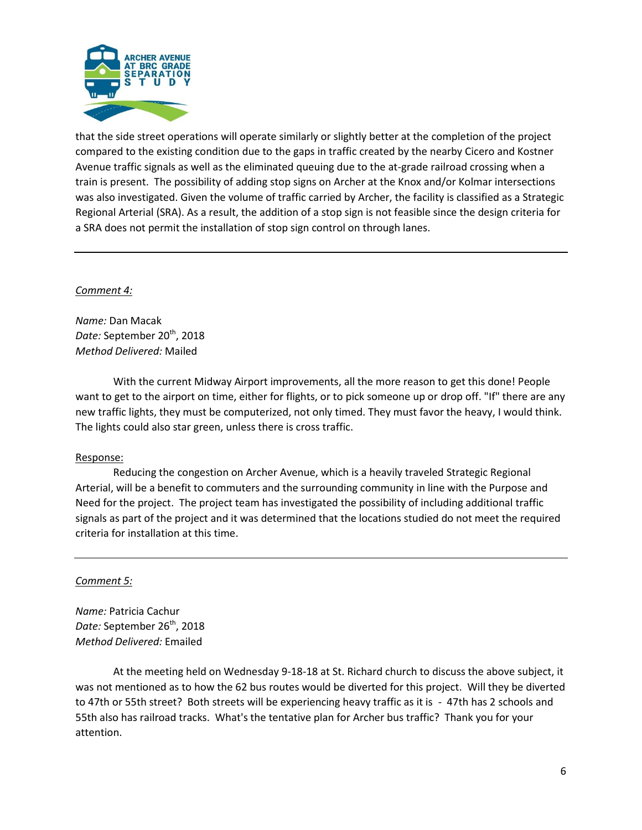

that the side street operations will operate similarly or slightly better at the completion of the project compared to the existing condition due to the gaps in traffic created by the nearby Cicero and Kostner Avenue traffic signals as well as the eliminated queuing due to the at-grade railroad crossing when a train is present. The possibility of adding stop signs on Archer at the Knox and/or Kolmar intersections was also investigated. Given the volume of traffic carried by Archer, the facility is classified as a Strategic Regional Arterial (SRA). As a result, the addition of a stop sign is not feasible since the design criteria for a SRA does not permit the installation of stop sign control on through lanes.

#### *Comment 4:*

*Name:* Dan Macak Date: September 20<sup>th</sup>, 2018 *Method Delivered:* Mailed

With the current Midway Airport improvements, all the more reason to get this done! People want to get to the airport on time, either for flights, or to pick someone up or drop off. "If" there are any new traffic lights, they must be computerized, not only timed. They must favor the heavy, I would think. The lights could also star green, unless there is cross traffic.

### Response:

Reducing the congestion on Archer Avenue, which is a heavily traveled Strategic Regional Arterial, will be a benefit to commuters and the surrounding community in line with the Purpose and Need for the project. The project team has investigated the possibility of including additional traffic signals as part of the project and it was determined that the locations studied do not meet the required criteria for installation at this time.

### *Comment 5:*

*Name:* Patricia Cachur Date: September 26<sup>th</sup>, 2018 *Method Delivered:* Emailed

At the meeting held on Wednesday 9-18-18 at St. Richard church to discuss the above subject, it was not mentioned as to how the 62 bus routes would be diverted for this project. Will they be diverted to 47th or 55th street? Both streets will be experiencing heavy traffic as it is - 47th has 2 schools and 55th also has railroad tracks. What's the tentative plan for Archer bus traffic? Thank you for your attention.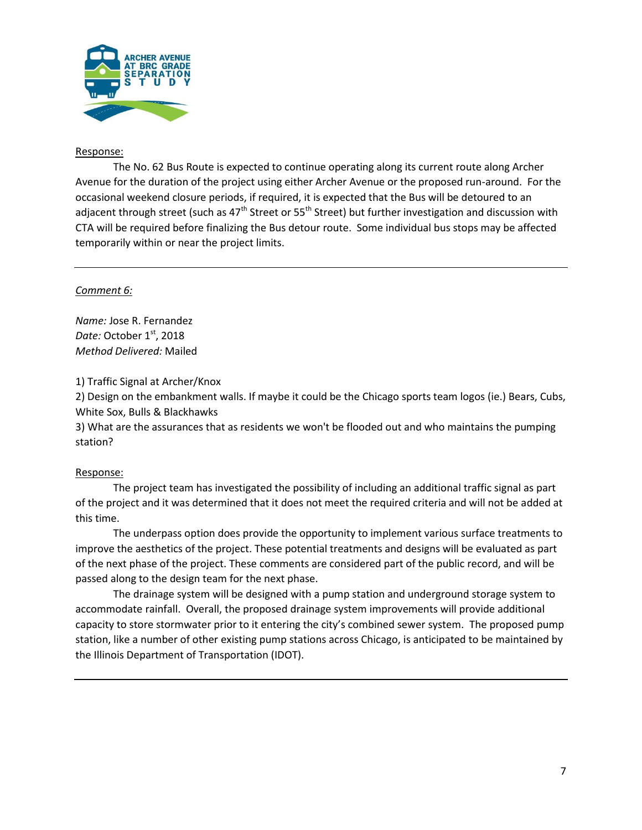

### Response:

The No. 62 Bus Route is expected to continue operating along its current route along Archer Avenue for the duration of the project using either Archer Avenue or the proposed run-around. For the occasional weekend closure periods, if required, it is expected that the Bus will be detoured to an adjacent through street (such as  $47<sup>th</sup>$  Street or 55<sup>th</sup> Street) but further investigation and discussion with CTA will be required before finalizing the Bus detour route. Some individual bus stops may be affected temporarily within or near the project limits.

#### *Comment 6:*

*Name:* Jose R. Fernandez *Date:* October 1<sup>st</sup>, 2018 *Method Delivered:* Mailed

1) Traffic Signal at Archer/Knox

2) Design on the embankment walls. If maybe it could be the Chicago sports team logos (ie.) Bears, Cubs, White Sox, Bulls & Blackhawks

3) What are the assurances that as residents we won't be flooded out and who maintains the pumping station?

### Response:

The project team has investigated the possibility of including an additional traffic signal as part of the project and it was determined that it does not meet the required criteria and will not be added at this time.

The underpass option does provide the opportunity to implement various surface treatments to improve the aesthetics of the project. These potential treatments and designs will be evaluated as part of the next phase of the project. These comments are considered part of the public record, and will be passed along to the design team for the next phase.

The drainage system will be designed with a pump station and underground storage system to accommodate rainfall. Overall, the proposed drainage system improvements will provide additional capacity to store stormwater prior to it entering the city's combined sewer system. The proposed pump station, like a number of other existing pump stations across Chicago, is anticipated to be maintained by the Illinois Department of Transportation (IDOT).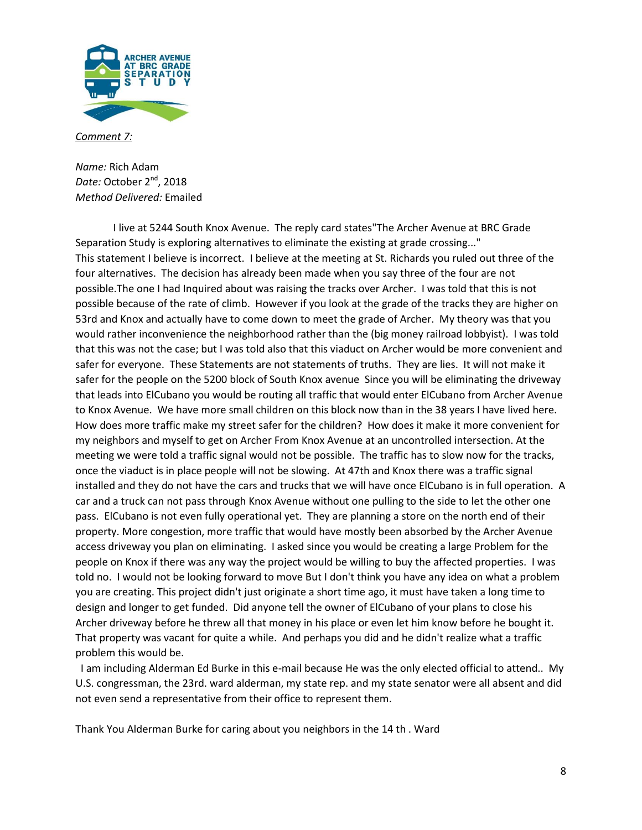

*Comment 7:*

*Name:* Rich Adam Date: October 2<sup>nd</sup>, 2018 *Method Delivered:* Emailed

I live at 5244 South Knox Avenue. The reply card states"The Archer Avenue at BRC Grade Separation Study is exploring alternatives to eliminate the existing at grade crossing..." This statement I believe is incorrect. I believe at the meeting at St. Richards you ruled out three of the four alternatives. The decision has already been made when you say three of the four are not possible.The one I had Inquired about was raising the tracks over Archer. I was told that this is not possible because of the rate of climb. However if you look at the grade of the tracks they are higher on 53rd and Knox and actually have to come down to meet the grade of Archer. My theory was that you would rather inconvenience the neighborhood rather than the (big money railroad lobbyist). I was told that this was not the case; but I was told also that this viaduct on Archer would be more convenient and safer for everyone. These Statements are not statements of truths. They are lies. It will not make it safer for the people on the 5200 block of South Knox avenue Since you will be eliminating the driveway that leads into ElCubano you would be routing all traffic that would enter ElCubano from Archer Avenue to Knox Avenue. We have more small children on this block now than in the 38 years I have lived here. How does more traffic make my street safer for the children? How does it make it more convenient for my neighbors and myself to get on Archer From Knox Avenue at an uncontrolled intersection. At the meeting we were told a traffic signal would not be possible. The traffic has to slow now for the tracks, once the viaduct is in place people will not be slowing. At 47th and Knox there was a traffic signal installed and they do not have the cars and trucks that we will have once ElCubano is in full operation. A car and a truck can not pass through Knox Avenue without one pulling to the side to let the other one pass. ElCubano is not even fully operational yet. They are planning a store on the north end of their property. More congestion, more traffic that would have mostly been absorbed by the Archer Avenue access driveway you plan on eliminating. I asked since you would be creating a large Problem for the people on Knox if there was any way the project would be willing to buy the affected properties. I was told no. I would not be looking forward to move But I don't think you have any idea on what a problem you are creating. This project didn't just originate a short time ago, it must have taken a long time to design and longer to get funded. Did anyone tell the owner of ElCubano of your plans to close his Archer driveway before he threw all that money in his place or even let him know before he bought it. That property was vacant for quite a while. And perhaps you did and he didn't realize what a traffic problem this would be.

 I am including Alderman Ed Burke in this e-mail because He was the only elected official to attend.. My U.S. congressman, the 23rd. ward alderman, my state rep. and my state senator were all absent and did not even send a representative from their office to represent them.

Thank You Alderman Burke for caring about you neighbors in the 14 th . Ward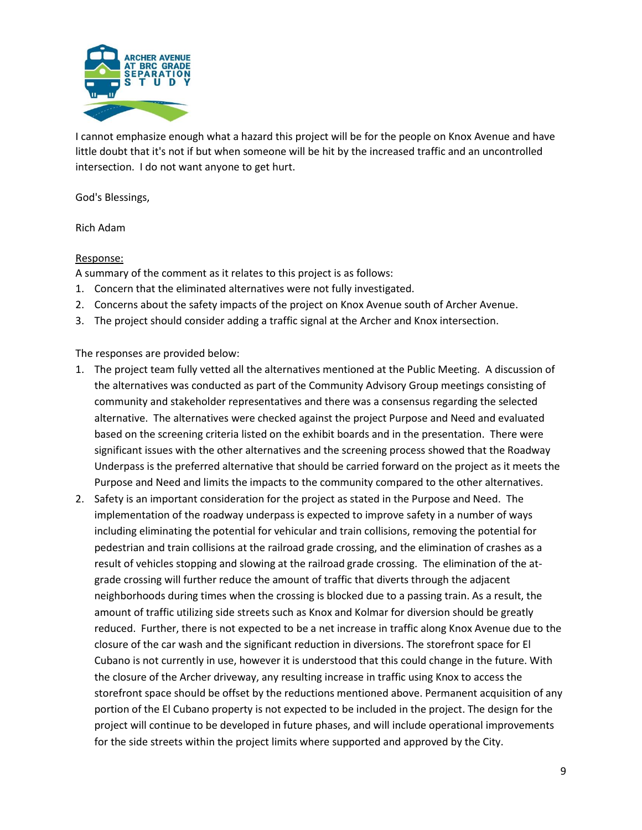

I cannot emphasize enough what a hazard this project will be for the people on Knox Avenue and have little doubt that it's not if but when someone will be hit by the increased traffic and an uncontrolled intersection. I do not want anyone to get hurt.

God's Blessings,

Rich Adam

#### Response:

A summary of the comment as it relates to this project is as follows:

- 1. Concern that the eliminated alternatives were not fully investigated.
- 2. Concerns about the safety impacts of the project on Knox Avenue south of Archer Avenue.
- 3. The project should consider adding a traffic signal at the Archer and Knox intersection.

The responses are provided below:

- 1. The project team fully vetted all the alternatives mentioned at the Public Meeting. A discussion of the alternatives was conducted as part of the Community Advisory Group meetings consisting of community and stakeholder representatives and there was a consensus regarding the selected alternative. The alternatives were checked against the project Purpose and Need and evaluated based on the screening criteria listed on the exhibit boards and in the presentation. There were significant issues with the other alternatives and the screening process showed that the Roadway Underpass is the preferred alternative that should be carried forward on the project as it meets the Purpose and Need and limits the impacts to the community compared to the other alternatives.
- 2. Safety is an important consideration for the project as stated in the Purpose and Need. The implementation of the roadway underpass is expected to improve safety in a number of ways including eliminating the potential for vehicular and train collisions, removing the potential for pedestrian and train collisions at the railroad grade crossing, and the elimination of crashes as a result of vehicles stopping and slowing at the railroad grade crossing. The elimination of the atgrade crossing will further reduce the amount of traffic that diverts through the adjacent neighborhoods during times when the crossing is blocked due to a passing train. As a result, the amount of traffic utilizing side streets such as Knox and Kolmar for diversion should be greatly reduced. Further, there is not expected to be a net increase in traffic along Knox Avenue due to the closure of the car wash and the significant reduction in diversions. The storefront space for El Cubano is not currently in use, however it is understood that this could change in the future. With the closure of the Archer driveway, any resulting increase in traffic using Knox to access the storefront space should be offset by the reductions mentioned above. Permanent acquisition of any portion of the El Cubano property is not expected to be included in the project. The design for the project will continue to be developed in future phases, and will include operational improvements for the side streets within the project limits where supported and approved by the City.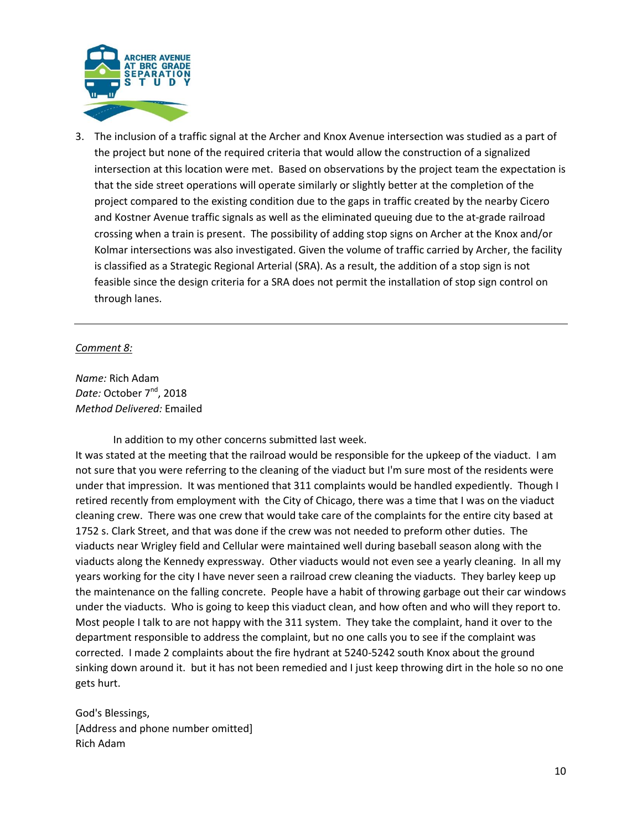

3. The inclusion of a traffic signal at the Archer and Knox Avenue intersection was studied as a part of the project but none of the required criteria that would allow the construction of a signalized intersection at this location were met. Based on observations by the project team the expectation is that the side street operations will operate similarly or slightly better at the completion of the project compared to the existing condition due to the gaps in traffic created by the nearby Cicero and Kostner Avenue traffic signals as well as the eliminated queuing due to the at-grade railroad crossing when a train is present. The possibility of adding stop signs on Archer at the Knox and/or Kolmar intersections was also investigated. Given the volume of traffic carried by Archer, the facility is classified as a Strategic Regional Arterial (SRA). As a result, the addition of a stop sign is not feasible since the design criteria for a SRA does not permit the installation of stop sign control on through lanes.

### *Comment 8:*

*Name:* Rich Adam *Date:* October 7 nd, 2018 *Method Delivered:* Emailed

In addition to my other concerns submitted last week.

It was stated at the meeting that the railroad would be responsible for the upkeep of the viaduct. I am not sure that you were referring to the cleaning of the viaduct but I'm sure most of the residents were under that impression. It was mentioned that 311 complaints would be handled expediently. Though I retired recently from employment with the City of Chicago, there was a time that I was on the viaduct cleaning crew. There was one crew that would take care of the complaints for the entire city based at 1752 s. Clark Street, and that was done if the crew was not needed to preform other duties. The viaducts near Wrigley field and Cellular were maintained well during baseball season along with the viaducts along the Kennedy expressway. Other viaducts would not even see a yearly cleaning. In all my years working for the city I have never seen a railroad crew cleaning the viaducts. They barley keep up the maintenance on the falling concrete. People have a habit of throwing garbage out their car windows under the viaducts. Who is going to keep this viaduct clean, and how often and who will they report to. Most people I talk to are not happy with the 311 system. They take the complaint, hand it over to the department responsible to address the complaint, but no one calls you to see if the complaint was corrected. I made 2 complaints about the fire hydrant at 5240-5242 south Knox about the ground sinking down around it. but it has not been remedied and I just keep throwing dirt in the hole so no one gets hurt.

God's Blessings, [Address and phone number omitted] Rich Adam